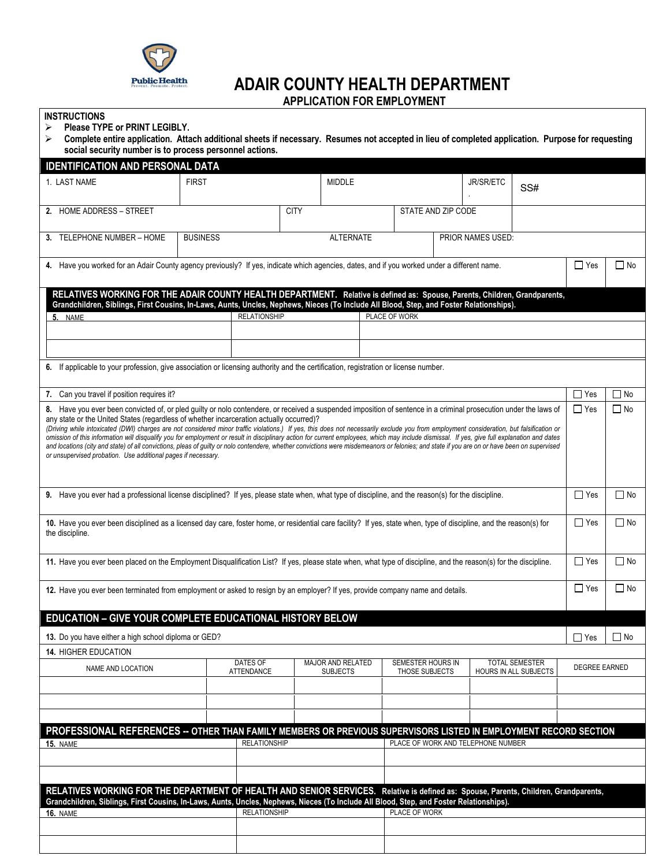

## **PUblic Health ADAIR COUNTY HEALTH DEPARTMENT**

Ø **Please TYPE or PRINT LEGIBLY.**

| Complete entire application. Attach additional sheets if necessary. Resumes not accepted in lieu of completed application. Purpose for requesting |  |
|---------------------------------------------------------------------------------------------------------------------------------------------------|--|
| social security number is to process personnel actions.                                                                                           |  |

| <b>IDENTIFICATION AND PERSONAL DATA</b>                                                                                                                                                                                                                                                                                                                                                                                                                                                                                                                                                                                                                                                                                                              |                                                                                                                                                                                             |                               |             |                                             |                                     |  |           |                                                |                      |           |  |  |
|------------------------------------------------------------------------------------------------------------------------------------------------------------------------------------------------------------------------------------------------------------------------------------------------------------------------------------------------------------------------------------------------------------------------------------------------------------------------------------------------------------------------------------------------------------------------------------------------------------------------------------------------------------------------------------------------------------------------------------------------------|---------------------------------------------------------------------------------------------------------------------------------------------------------------------------------------------|-------------------------------|-------------|---------------------------------------------|-------------------------------------|--|-----------|------------------------------------------------|----------------------|-----------|--|--|
| 1. LAST NAME                                                                                                                                                                                                                                                                                                                                                                                                                                                                                                                                                                                                                                                                                                                                         | <b>FIRST</b>                                                                                                                                                                                |                               |             | <b>MIDDLE</b>                               |                                     |  | JR/SR/ETC | SS#                                            |                      |           |  |  |
| 2. HOME ADDRESS - STREET                                                                                                                                                                                                                                                                                                                                                                                                                                                                                                                                                                                                                                                                                                                             |                                                                                                                                                                                             |                               | <b>CITY</b> |                                             | STATE AND ZIP CODE                  |  |           |                                                |                      |           |  |  |
| 3. TELEPHONE NUMBER - HOME                                                                                                                                                                                                                                                                                                                                                                                                                                                                                                                                                                                                                                                                                                                           |                                                                                                                                                                                             | <b>ALTERNATE</b>              |             |                                             | PRIOR NAMES USED:                   |  |           |                                                |                      |           |  |  |
| $\Box$ Yes<br>4. Have you worked for an Adair County agency previously? If yes, indicate which agencies, dates, and if you worked under a different name.                                                                                                                                                                                                                                                                                                                                                                                                                                                                                                                                                                                            |                                                                                                                                                                                             |                               |             |                                             |                                     |  |           |                                                |                      | $\Box$ No |  |  |
| RELATIVES WORKING FOR THE ADAIR COUNTY HEALTH DEPARTMENT. Relative is defined as: Spouse, Parents, Children, Grandparents,<br>Grandchildren, Siblings, First Cousins, In-Laws, Aunts, Uncles, Nephews, Nieces (To Include All Blood, Step, and Foster Relationships).                                                                                                                                                                                                                                                                                                                                                                                                                                                                                |                                                                                                                                                                                             |                               |             |                                             |                                     |  |           |                                                |                      |           |  |  |
| <b>RELATIONSHIP</b><br>PLACE OF WORK<br>5. NAME                                                                                                                                                                                                                                                                                                                                                                                                                                                                                                                                                                                                                                                                                                      |                                                                                                                                                                                             |                               |             |                                             |                                     |  |           |                                                |                      |           |  |  |
|                                                                                                                                                                                                                                                                                                                                                                                                                                                                                                                                                                                                                                                                                                                                                      |                                                                                                                                                                                             |                               |             |                                             |                                     |  |           |                                                |                      |           |  |  |
|                                                                                                                                                                                                                                                                                                                                                                                                                                                                                                                                                                                                                                                                                                                                                      |                                                                                                                                                                                             |                               |             |                                             |                                     |  |           |                                                |                      |           |  |  |
| 6.                                                                                                                                                                                                                                                                                                                                                                                                                                                                                                                                                                                                                                                                                                                                                   | If applicable to your profession, give association or licensing authority and the certification, registration or license number.                                                            |                               |             |                                             |                                     |  |           |                                                |                      |           |  |  |
| Can you travel if position requires it?<br>7.                                                                                                                                                                                                                                                                                                                                                                                                                                                                                                                                                                                                                                                                                                        |                                                                                                                                                                                             |                               |             |                                             |                                     |  |           |                                                | $\Box$ Yes           | $\Box$ No |  |  |
| 8. Have you ever been convicted of, or pled guilty or nolo contendere, or received a suspended imposition of sentence in a criminal prosecution under the laws of                                                                                                                                                                                                                                                                                                                                                                                                                                                                                                                                                                                    |                                                                                                                                                                                             |                               |             |                                             |                                     |  |           |                                                | $\Box$ Yes           | $\Box$ No |  |  |
| any state or the United States (regardless of whether incarceration actually occurred)?<br>(Driving while intoxicated (DWI) charges are not considered minor traffic violations.) If yes, this does not necessarily exclude you from employment consideration, but falsification or<br>omission of this information will disqualify you for employment or result in disciplinary action for current employees, which may include dismissal. If yes, give full explanation and dates<br>and locations (city and state) of all convictions, pleas of guilty or nolo contendere, whether convictions were misdemeanors or felonies; and state if you are on or have been on supervised<br>or unsupervised probation. Use additional pages if necessary. |                                                                                                                                                                                             |                               |             |                                             |                                     |  |           |                                                |                      |           |  |  |
| 9. Have you ever had a professional license disciplined? If yes, please state when, what type of discipline, and the reason(s) for the discipline.                                                                                                                                                                                                                                                                                                                                                                                                                                                                                                                                                                                                   |                                                                                                                                                                                             |                               |             |                                             |                                     |  |           |                                                | $\Box$ Yes           | $\Box$ No |  |  |
| $\Box$ Yes<br>$\Box$ No<br>10. Have you ever been disciplined as a licensed day care, foster home, or residential care facility? If yes, state when, type of discipline, and the reason(s) for<br>the discipline.                                                                                                                                                                                                                                                                                                                                                                                                                                                                                                                                    |                                                                                                                                                                                             |                               |             |                                             |                                     |  |           |                                                |                      |           |  |  |
|                                                                                                                                                                                                                                                                                                                                                                                                                                                                                                                                                                                                                                                                                                                                                      | $\Box$ Yes<br>$\Box$ No<br>11. Have you ever been placed on the Employment Disqualification List? If yes, please state when, what type of discipline, and the reason(s) for the discipline. |                               |             |                                             |                                     |  |           |                                                |                      |           |  |  |
| 12. Have you ever been terminated from employment or asked to resign by an employer? If yes, provide company name and details.                                                                                                                                                                                                                                                                                                                                                                                                                                                                                                                                                                                                                       |                                                                                                                                                                                             |                               |             |                                             |                                     |  |           |                                                | $\Box$ Yes           | $\Box$ No |  |  |
| EDUCATION - GIVE YOUR COMPLETE EDUCATIONAL HISTORY BELOW                                                                                                                                                                                                                                                                                                                                                                                                                                                                                                                                                                                                                                                                                             |                                                                                                                                                                                             |                               |             |                                             |                                     |  |           |                                                |                      |           |  |  |
| 13. Do you have either a high school diploma or GED?                                                                                                                                                                                                                                                                                                                                                                                                                                                                                                                                                                                                                                                                                                 |                                                                                                                                                                                             |                               |             |                                             |                                     |  |           |                                                | $\Box$ Yes           | $\Box$ No |  |  |
| <b>14. HIGHER EDUCATION</b>                                                                                                                                                                                                                                                                                                                                                                                                                                                                                                                                                                                                                                                                                                                          |                                                                                                                                                                                             |                               |             |                                             |                                     |  |           |                                                |                      |           |  |  |
| NAME AND LOCATION                                                                                                                                                                                                                                                                                                                                                                                                                                                                                                                                                                                                                                                                                                                                    |                                                                                                                                                                                             | <b>DATES OF</b><br>ATTENDANCE |             | <b>MAJOR AND RELATED</b><br><b>SUBJECTS</b> | SEMESTER HOURS IN<br>THOSE SUBJECTS |  |           | <b>TOTAL SEMESTER</b><br>HOURS IN ALL SUBJECTS | <b>DEGREE EARNED</b> |           |  |  |
|                                                                                                                                                                                                                                                                                                                                                                                                                                                                                                                                                                                                                                                                                                                                                      |                                                                                                                                                                                             |                               |             |                                             |                                     |  |           |                                                |                      |           |  |  |
| PROFESSIONAL REFERENCES -- OTHER THAN FAMILY MEMBERS OR PREVIOUS SUPERVISORS LISTED IN EMPLOYMENT RECORD SECTION                                                                                                                                                                                                                                                                                                                                                                                                                                                                                                                                                                                                                                     |                                                                                                                                                                                             |                               |             |                                             |                                     |  |           |                                                |                      |           |  |  |
| <b>15. NAME</b>                                                                                                                                                                                                                                                                                                                                                                                                                                                                                                                                                                                                                                                                                                                                      |                                                                                                                                                                                             | <b>RELATIONSHIP</b>           |             |                                             | PLACE OF WORK AND TELEPHONE NUMBER  |  |           |                                                |                      |           |  |  |
|                                                                                                                                                                                                                                                                                                                                                                                                                                                                                                                                                                                                                                                                                                                                                      |                                                                                                                                                                                             |                               |             |                                             |                                     |  |           |                                                |                      |           |  |  |
|                                                                                                                                                                                                                                                                                                                                                                                                                                                                                                                                                                                                                                                                                                                                                      |                                                                                                                                                                                             |                               |             |                                             |                                     |  |           |                                                |                      |           |  |  |
| RELATIVES WORKING FOR THE DEPARTMENT OF HEALTH AND SENIOR SERVICES. Relative is defined as: Spouse, Parents, Children, Grandparents,<br>Grandchildren, Siblings, First Cousins, In-Laws, Aunts, Uncles, Nephews, Nieces (To Include All Blood, Step, and Foster Relationships).                                                                                                                                                                                                                                                                                                                                                                                                                                                                      |                                                                                                                                                                                             |                               |             |                                             |                                     |  |           |                                                |                      |           |  |  |
| <b>16. NAME</b>                                                                                                                                                                                                                                                                                                                                                                                                                                                                                                                                                                                                                                                                                                                                      |                                                                                                                                                                                             | <b>RELATIONSHIP</b>           |             |                                             | PLACE OF WORK                       |  |           |                                                |                      |           |  |  |
|                                                                                                                                                                                                                                                                                                                                                                                                                                                                                                                                                                                                                                                                                                                                                      |                                                                                                                                                                                             |                               |             |                                             |                                     |  |           |                                                |                      |           |  |  |
|                                                                                                                                                                                                                                                                                                                                                                                                                                                                                                                                                                                                                                                                                                                                                      |                                                                                                                                                                                             |                               |             |                                             |                                     |  |           |                                                |                      |           |  |  |